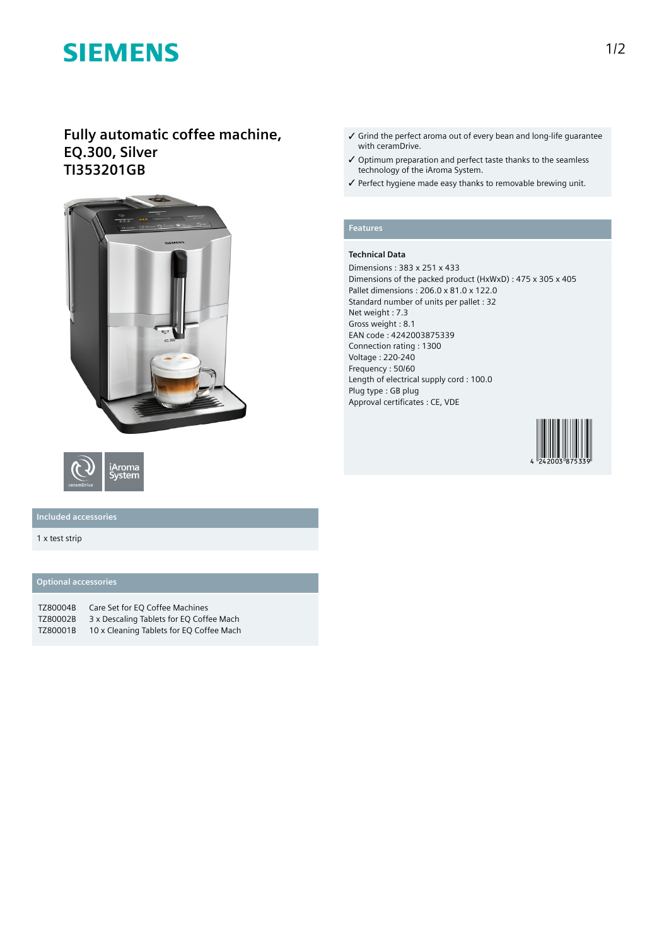# **SIEMENS**

# **Fully automatic coffee machine, EQ.300, Silver TI353201GB**





## **Included accessories**

#### 1 x test strip

### **Optional accessories**

| TZ80004B | Care Set for EO Coffee Machines          |
|----------|------------------------------------------|
| TZ80002B | 3 x Descaling Tablets for EQ Coffee Mach |
| TZ80001B | 10 x Cleaning Tablets for EQ Coffee Mach |

- ✓ Grind the perfect aroma out of every bean and long-life guarantee with ceramDrive.
- ✓ Optimum preparation and perfect taste thanks to the seamless technology of the iAroma System.
- ✓ Perfect hygiene made easy thanks to removable brewing unit.

### **Features**

### **Technical Data**

Dimensions : 383 x 251 x 433 Dimensions of the packed product (HxWxD) : 475 x 305 x 405 Pallet dimensions : 206.0 x 81.0 x 122.0 Standard number of units per pallet : 32 Net weight : 7.3 Gross weight : 8.1 EAN code : 4242003875339 Connection rating : 1300 Voltage : 220-240 Frequency : 50/60 Length of electrical supply cord : 100.0 Plug type : GB plug Approval certificates : CE, VDE